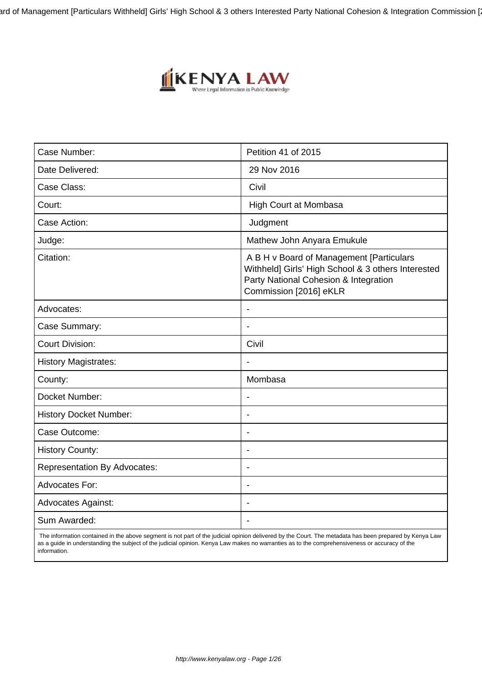ard of Management [Particulars Withheld] Girls' High School & 3 others Interested Party National Cohesion & Integration Commission [



| Case Number:                        | Petition 41 of 2015                                                                                                                                               |
|-------------------------------------|-------------------------------------------------------------------------------------------------------------------------------------------------------------------|
| Date Delivered:                     | 29 Nov 2016                                                                                                                                                       |
| Case Class:                         | Civil                                                                                                                                                             |
| Court:                              | High Court at Mombasa                                                                                                                                             |
| Case Action:                        | Judgment                                                                                                                                                          |
| Judge:                              | Mathew John Anyara Emukule                                                                                                                                        |
| Citation:                           | A B H v Board of Management [Particulars<br>Withheld] Girls' High School & 3 others Interested<br>Party National Cohesion & Integration<br>Commission [2016] eKLR |
| Advocates:                          | $\blacksquare$                                                                                                                                                    |
| Case Summary:                       |                                                                                                                                                                   |
| <b>Court Division:</b>              | Civil                                                                                                                                                             |
| <b>History Magistrates:</b>         | $\overline{\phantom{a}}$                                                                                                                                          |
| County:                             | Mombasa                                                                                                                                                           |
| Docket Number:                      | $\blacksquare$                                                                                                                                                    |
| <b>History Docket Number:</b>       | $\overline{\phantom{0}}$                                                                                                                                          |
| Case Outcome:                       | $\overline{\phantom{a}}$                                                                                                                                          |
| <b>History County:</b>              | $\overline{\phantom{0}}$                                                                                                                                          |
| <b>Representation By Advocates:</b> |                                                                                                                                                                   |
| <b>Advocates For:</b>               | $\overline{\phantom{a}}$                                                                                                                                          |
| <b>Advocates Against:</b>           | $\blacksquare$                                                                                                                                                    |
| Sum Awarded:                        |                                                                                                                                                                   |

 The information contained in the above segment is not part of the judicial opinion delivered by the Court. The metadata has been prepared by Kenya Law as a guide in understanding the subject of the judicial opinion. Kenya Law makes no warranties as to the comprehensiveness or accuracy of the information.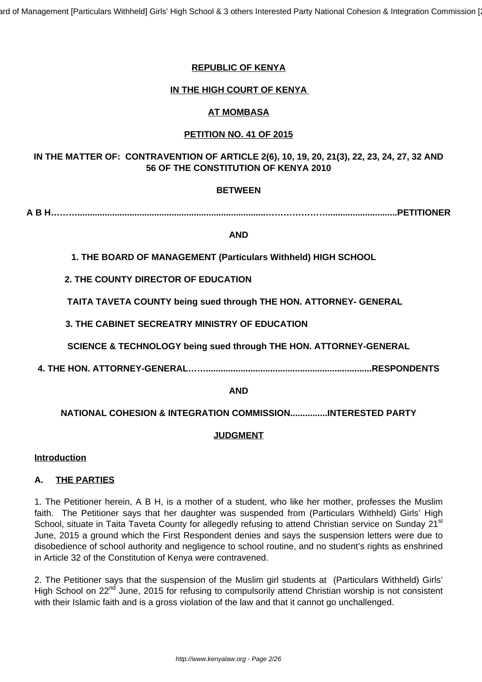ard of Management [Particulars Withheld] Girls' High School & 3 others Interested Party National Cohesion & Integration Commission [

## **REPUBLIC OF KENYA**

## **IN THE HIGH COURT OF KENYA**

### **AT MOMBASA**

## **PETITION NO. 41 OF 2015**

# **IN THE MATTER OF: CONTRAVENTION OF ARTICLE 2(6), 10, 19, 20, 21(3), 22, 23, 24, 27, 32 AND 56 OF THE CONSTITUTION OF KENYA 2010**

## **BETWEEN**

**A B H………............................................................................…………………............................PETITIONER**

#### **AND**

**1. THE BOARD OF MANAGEMENT (Particulars Withheld) HIGH SCHOOL**

**2. THE COUNTY DIRECTOR OF EDUCATION**

**TAITA TAVETA COUNTY being sued through THE HON. ATTORNEY- GENERAL**

**3. THE CABINET SECREATRY MINISTRY OF EDUCATION**

**SCIENCE & TECHNOLOGY being sued through THE HON. ATTORNEY-GENERAL**

**4. THE HON. ATTORNEY-GENERAL……...................................................................RESPONDENTS**

#### **AND**

# **NATIONAL COHESION & INTEGRATION COMMISSION...............INTERESTED PARTY**

#### **JUDGMENT**

#### **Introduction**

#### **A. THE PARTIES**

1. The Petitioner herein, A B H, is a mother of a student, who like her mother, professes the Muslim faith. The Petitioner says that her daughter was suspended from (Particulars Withheld) Girls' High School, situate in Taita Taveta County for allegedly refusing to attend Christian service on Sunday 21<sup>st</sup> June, 2015 a ground which the First Respondent denies and says the suspension letters were due to disobedience of school authority and negligence to school routine, and no student's rights as enshrined in Article 32 of the Constitution of Kenya were contravened.

2. The Petitioner says that the suspension of the Muslim girl students at (Particulars Withheld) Girls' High School on 22<sup>nd</sup> June, 2015 for refusing to compulsorily attend Christian worship is not consistent with their Islamic faith and is a gross violation of the law and that it cannot go unchallenged.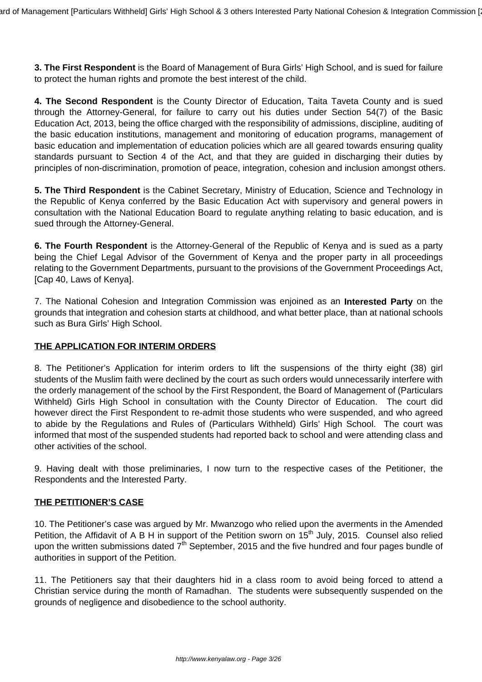**3. The First Respondent** is the Board of Management of Bura Girls' High School, and is sued for failure to protect the human rights and promote the best interest of the child.

**4. The Second Respondent** is the County Director of Education, Taita Taveta County and is sued through the Attorney-General, for failure to carry out his duties under Section 54(7) of the Basic Education Act, 2013, being the office charged with the responsibility of admissions, discipline, auditing of the basic education institutions, management and monitoring of education programs, management of basic education and implementation of education policies which are all geared towards ensuring quality standards pursuant to Section 4 of the Act, and that they are guided in discharging their duties by principles of non-discrimination, promotion of peace, integration, cohesion and inclusion amongst others.

**5. The Third Respondent** is the Cabinet Secretary, Ministry of Education, Science and Technology in the Republic of Kenya conferred by the Basic Education Act with supervisory and general powers in consultation with the National Education Board to regulate anything relating to basic education, and is sued through the Attorney-General.

**6. The Fourth Respondent** is the Attorney-General of the Republic of Kenya and is sued as a party being the Chief Legal Advisor of the Government of Kenya and the proper party in all proceedings relating to the Government Departments, pursuant to the provisions of the Government Proceedings Act, [Cap 40, Laws of Kenya].

7. The National Cohesion and Integration Commission was enjoined as an **Interested Party** on the grounds that integration and cohesion starts at childhood, and what better place, than at national schools such as Bura Girls' High School.

## **THE APPLICATION FOR INTERIM ORDERS**

8. The Petitioner's Application for interim orders to lift the suspensions of the thirty eight (38) girl students of the Muslim faith were declined by the court as such orders would unnecessarily interfere with the orderly management of the school by the First Respondent, the Board of Management of (Particulars Withheld) Girls High School in consultation with the County Director of Education. The court did however direct the First Respondent to re-admit those students who were suspended, and who agreed to abide by the Regulations and Rules of (Particulars Withheld) Girls' High School. The court was informed that most of the suspended students had reported back to school and were attending class and other activities of the school.

9. Having dealt with those preliminaries, I now turn to the respective cases of the Petitioner, the Respondents and the Interested Party.

#### **THE PETITIONER'S CASE**

10. The Petitioner's case was argued by Mr. Mwanzogo who relied upon the averments in the Amended Petition, the Affidavit of A B H in support of the Petition sworn on  $15<sup>th</sup>$  July, 2015. Counsel also relied upon the written submissions dated  $7<sup>th</sup>$  September, 2015 and the five hundred and four pages bundle of authorities in support of the Petition.

11. The Petitioners say that their daughters hid in a class room to avoid being forced to attend a Christian service during the month of Ramadhan. The students were subsequently suspended on the grounds of negligence and disobedience to the school authority.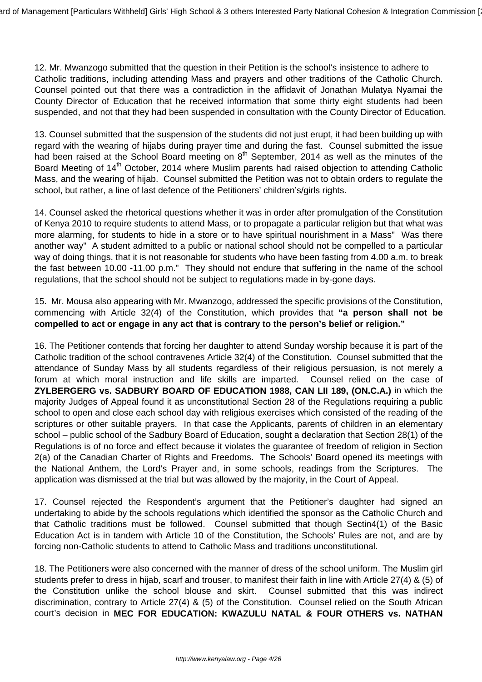12. Mr. Mwanzogo submitted that the question in their Petition is the school's insistence to adhere to Catholic traditions, including attending Mass and prayers and other traditions of the Catholic Church. Counsel pointed out that there was a contradiction in the affidavit of Jonathan Mulatya Nyamai the County Director of Education that he received information that some thirty eight students had been suspended, and not that they had been suspended in consultation with the County Director of Education.

13. Counsel submitted that the suspension of the students did not just erupt, it had been building up with regard with the wearing of hijabs during prayer time and during the fast. Counsel submitted the issue had been raised at the School Board meeting on 8<sup>th</sup> September, 2014 as well as the minutes of the Board Meeting of 14<sup>th</sup> October, 2014 where Muslim parents had raised objection to attending Catholic Mass, and the wearing of hijab. Counsel submitted the Petition was not to obtain orders to regulate the school, but rather, a line of last defence of the Petitioners' children's/girls rights.

14. Counsel asked the rhetorical questions whether it was in order after promulgation of the Constitution of Kenya 2010 to require students to attend Mass, or to propagate a particular religion but that what was more alarming, for students to hide in a store or to have spiritual nourishment in a Mass" Was there another way" A student admitted to a public or national school should not be compelled to a particular way of doing things, that it is not reasonable for students who have been fasting from 4.00 a.m. to break the fast between 10.00 -11.00 p.m." They should not endure that suffering in the name of the school regulations, that the school should not be subject to regulations made in by-gone days.

15. Mr. Mousa also appearing with Mr. Mwanzogo, addressed the specific provisions of the Constitution, commencing with Article 32(4) of the Constitution, which provides that **"a person shall not be compelled to act or engage in any act that is contrary to the person's belief or religion."**

16. The Petitioner contends that forcing her daughter to attend Sunday worship because it is part of the Catholic tradition of the school contravenes Article 32(4) of the Constitution. Counsel submitted that the attendance of Sunday Mass by all students regardless of their religious persuasion, is not merely a forum at which moral instruction and life skills are imparted. Counsel relied on the case of **ZYLBERGERG vs. SADBURY BOARD OF EDUCATION 1988, CAN LII 189, (ON.C.A.)** in which the majority Judges of Appeal found it as unconstitutional Section 28 of the Regulations requiring a public school to open and close each school day with religious exercises which consisted of the reading of the scriptures or other suitable prayers. In that case the Applicants, parents of children in an elementary school – public school of the Sadbury Board of Education, sought a declaration that Section 28(1) of the Regulations is of no force and effect because it violates the guarantee of freedom of religion in Section 2(a) of the Canadian Charter of Rights and Freedoms. The Schools' Board opened its meetings with the National Anthem, the Lord's Prayer and, in some schools, readings from the Scriptures. The application was dismissed at the trial but was allowed by the majority, in the Court of Appeal.

17. Counsel rejected the Respondent's argument that the Petitioner's daughter had signed an undertaking to abide by the schools regulations which identified the sponsor as the Catholic Church and that Catholic traditions must be followed. Counsel submitted that though Sectin4(1) of the Basic Education Act is in tandem with Article 10 of the Constitution, the Schools' Rules are not, and are by forcing non-Catholic students to attend to Catholic Mass and traditions unconstitutional.

18. The Petitioners were also concerned with the manner of dress of the school uniform. The Muslim girl students prefer to dress in hijab, scarf and trouser, to manifest their faith in line with Article 27(4) & (5) of the Constitution unlike the school blouse and skirt. Counsel submitted that this was indirect discrimination, contrary to Article 27(4) & (5) of the Constitution. Counsel relied on the South African court's decision in **MEC FOR EDUCATION: KWAZULU NATAL & FOUR OTHERS vs. NATHAN**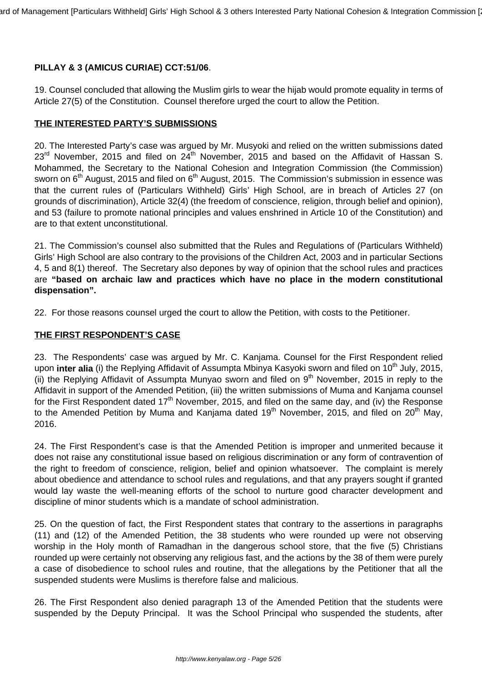# **PILLAY & 3 (AMICUS CURIAE) CCT:51/06**.

19. Counsel concluded that allowing the Muslim girls to wear the hijab would promote equality in terms of Article 27(5) of the Constitution. Counsel therefore urged the court to allow the Petition.

## **THE INTERESTED PARTY'S SUBMISSIONS**

20. The Interested Party's case was argued by Mr. Musyoki and relied on the written submissions dated  $23<sup>rd</sup>$  November, 2015 and filed on  $24<sup>th</sup>$  November, 2015 and based on the Affidavit of Hassan S. Mohammed, the Secretary to the National Cohesion and Integration Commission (the Commission) sworn on  $6<sup>th</sup>$  August, 2015 and filed on  $6<sup>th</sup>$  August, 2015. The Commission's submission in essence was that the current rules of (Particulars Withheld) Girls' High School, are in breach of Articles 27 (on grounds of discrimination), Article 32(4) (the freedom of conscience, religion, through belief and opinion), and 53 (failure to promote national principles and values enshrined in Article 10 of the Constitution) and are to that extent unconstitutional.

21. The Commission's counsel also submitted that the Rules and Regulations of (Particulars Withheld) Girls' High School are also contrary to the provisions of the Children Act, 2003 and in particular Sections 4, 5 and 8(1) thereof. The Secretary also depones by way of opinion that the school rules and practices are **"based on archaic law and practices which have no place in the modern constitutional dispensation".**

22. For those reasons counsel urged the court to allow the Petition, with costs to the Petitioner.

#### **THE FIRST RESPONDENT'S CASE**

23. The Respondents' case was argued by Mr. C. Kanjama. Counsel for the First Respondent relied upon **inter alia** (i) the Replying Affidavit of Assumpta Mbinya Kasyoki sworn and filed on 10<sup>th</sup> July, 2015, (ii) the Replying Affidavit of Assumpta Munyao sworn and filed on 9<sup>th</sup> November, 2015 in reply to the Affidavit in support of the Amended Petition, (iii) the written submissions of Muma and Kanjama counsel for the First Respondent dated 17<sup>th</sup> November, 2015, and filed on the same day, and (iv) the Response to the Amended Petition by Muma and Kanjama dated  $19<sup>th</sup>$  November, 2015, and filed on 20<sup>th</sup> May, 2016.

24. The First Respondent's case is that the Amended Petition is improper and unmerited because it does not raise any constitutional issue based on religious discrimination or any form of contravention of the right to freedom of conscience, religion, belief and opinion whatsoever. The complaint is merely about obedience and attendance to school rules and regulations, and that any prayers sought if granted would lay waste the well-meaning efforts of the school to nurture good character development and discipline of minor students which is a mandate of school administration.

25. On the question of fact, the First Respondent states that contrary to the assertions in paragraphs (11) and (12) of the Amended Petition, the 38 students who were rounded up were not observing worship in the Holy month of Ramadhan in the dangerous school store, that the five (5) Christians rounded up were certainly not observing any religious fast, and the actions by the 38 of them were purely a case of disobedience to school rules and routine, that the allegations by the Petitioner that all the suspended students were Muslims is therefore false and malicious.

26. The First Respondent also denied paragraph 13 of the Amended Petition that the students were suspended by the Deputy Principal. It was the School Principal who suspended the students, after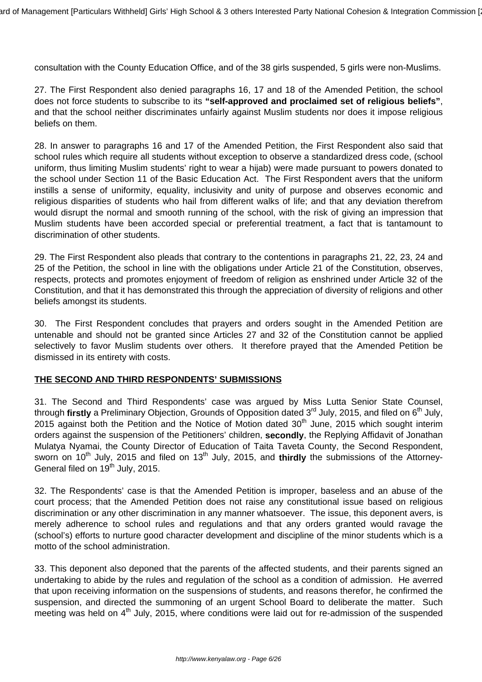consultation with the County Education Office, and of the 38 girls suspended, 5 girls were non-Muslims.

27. The First Respondent also denied paragraphs 16, 17 and 18 of the Amended Petition, the school does not force students to subscribe to its **"self-approved and proclaimed set of religious beliefs"**, and that the school neither discriminates unfairly against Muslim students nor does it impose religious beliefs on them.

28. In answer to paragraphs 16 and 17 of the Amended Petition, the First Respondent also said that school rules which require all students without exception to observe a standardized dress code, (school uniform, thus limiting Muslim students' right to wear a hijab) were made pursuant to powers donated to the school under Section 11 of the Basic Education Act. The First Respondent avers that the uniform instills a sense of uniformity, equality, inclusivity and unity of purpose and observes economic and religious disparities of students who hail from different walks of life; and that any deviation therefrom would disrupt the normal and smooth running of the school, with the risk of giving an impression that Muslim students have been accorded special or preferential treatment, a fact that is tantamount to discrimination of other students.

29. The First Respondent also pleads that contrary to the contentions in paragraphs 21, 22, 23, 24 and 25 of the Petition, the school in line with the obligations under Article 21 of the Constitution, observes, respects, protects and promotes enjoyment of freedom of religion as enshrined under Article 32 of the Constitution, and that it has demonstrated this through the appreciation of diversity of religions and other beliefs amongst its students.

30. The First Respondent concludes that prayers and orders sought in the Amended Petition are untenable and should not be granted since Articles 27 and 32 of the Constitution cannot be applied selectively to favor Muslim students over others. It therefore prayed that the Amended Petition be dismissed in its entirety with costs.

#### **THE SECOND AND THIRD RESPONDENTS' SUBMISSIONS**

31. The Second and Third Respondents' case was argued by Miss Lutta Senior State Counsel, through **firstly** a Preliminary Objection, Grounds of Opposition dated 3<sup>rd</sup> July, 2015, and filed on 6<sup>th</sup> July, 2015 against both the Petition and the Notice of Motion dated 30<sup>th</sup> June, 2015 which sought interim orders against the suspension of the Petitioners' children, **secondly**, the Replying Affidavit of Jonathan Mulatya Nyamai, the County Director of Education of Taita Taveta County, the Second Respondent, sworn on 10<sup>th</sup> July, 2015 and filed on 13<sup>th</sup> July, 2015, and **thirdly** the submissions of the Attorney-General filed on 19<sup>th</sup> July, 2015.

32. The Respondents' case is that the Amended Petition is improper, baseless and an abuse of the court process; that the Amended Petition does not raise any constitutional issue based on religious discrimination or any other discrimination in any manner whatsoever. The issue, this deponent avers, is merely adherence to school rules and regulations and that any orders granted would ravage the (school's) efforts to nurture good character development and discipline of the minor students which is a motto of the school administration.

33. This deponent also deponed that the parents of the affected students, and their parents signed an undertaking to abide by the rules and regulation of the school as a condition of admission. He averred that upon receiving information on the suspensions of students, and reasons therefor, he confirmed the suspension, and directed the summoning of an urgent School Board to deliberate the matter. Such meeting was held on 4<sup>th</sup> July, 2015, where conditions were laid out for re-admission of the suspended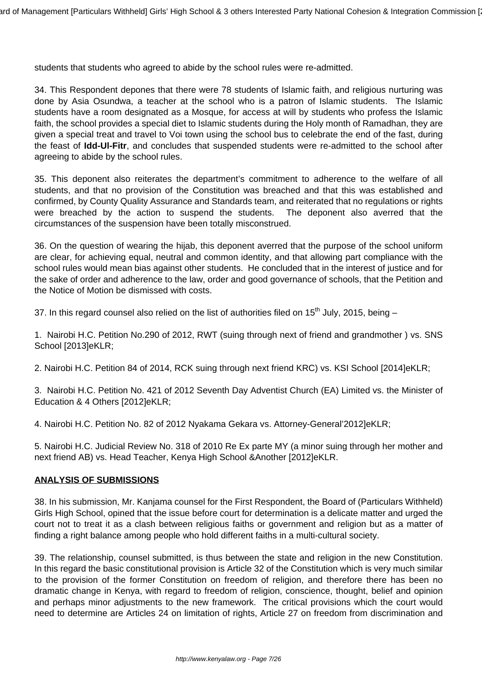students that students who agreed to abide by the school rules were re-admitted.

34. This Respondent depones that there were 78 students of Islamic faith, and religious nurturing was done by Asia Osundwa, a teacher at the school who is a patron of Islamic students. The Islamic students have a room designated as a Mosque, for access at will by students who profess the Islamic faith, the school provides a special diet to Islamic students during the Holy month of Ramadhan, they are given a special treat and travel to Voi town using the school bus to celebrate the end of the fast, during the feast of **Idd-Ul-Fitr**, and concludes that suspended students were re-admitted to the school after agreeing to abide by the school rules.

35. This deponent also reiterates the department's commitment to adherence to the welfare of all students, and that no provision of the Constitution was breached and that this was established and confirmed, by County Quality Assurance and Standards team, and reiterated that no regulations or rights were breached by the action to suspend the students. The deponent also averred that the circumstances of the suspension have been totally misconstrued.

36. On the question of wearing the hijab, this deponent averred that the purpose of the school uniform are clear, for achieving equal, neutral and common identity, and that allowing part compliance with the school rules would mean bias against other students. He concluded that in the interest of justice and for the sake of order and adherence to the law, order and good governance of schools, that the Petition and the Notice of Motion be dismissed with costs.

37. In this regard counsel also relied on the list of authorities filed on 15<sup>th</sup> July, 2015, being  $-$ 

1. Nairobi H.C. Petition No.290 of 2012, RWT (suing through next of friend and grandmother ) vs. SNS School [2013]eKLR;

2. Nairobi H.C. Petition 84 of 2014, RCK suing through next friend KRC) vs. KSI School [2014]eKLR;

3. Nairobi H.C. Petition No. 421 of 2012 Seventh Day Adventist Church (EA) Limited vs. the Minister of Education & 4 Others [2012]eKLR;

4. Nairobi H.C. Petition No. 82 of 2012 Nyakama Gekara vs. Attorney-General'2012]eKLR;

5. Nairobi H.C. Judicial Review No. 318 of 2010 Re Ex parte MY (a minor suing through her mother and next friend AB) vs. Head Teacher, Kenya High School &Another [2012]eKLR.

#### **ANALYSIS OF SUBMISSIONS**

38. In his submission, Mr. Kanjama counsel for the First Respondent, the Board of (Particulars Withheld) Girls High School, opined that the issue before court for determination is a delicate matter and urged the court not to treat it as a clash between religious faiths or government and religion but as a matter of finding a right balance among people who hold different faiths in a multi-cultural society.

39. The relationship, counsel submitted, is thus between the state and religion in the new Constitution. In this regard the basic constitutional provision is Article 32 of the Constitution which is very much similar to the provision of the former Constitution on freedom of religion, and therefore there has been no dramatic change in Kenya, with regard to freedom of religion, conscience, thought, belief and opinion and perhaps minor adjustments to the new framework. The critical provisions which the court would need to determine are Articles 24 on limitation of rights, Article 27 on freedom from discrimination and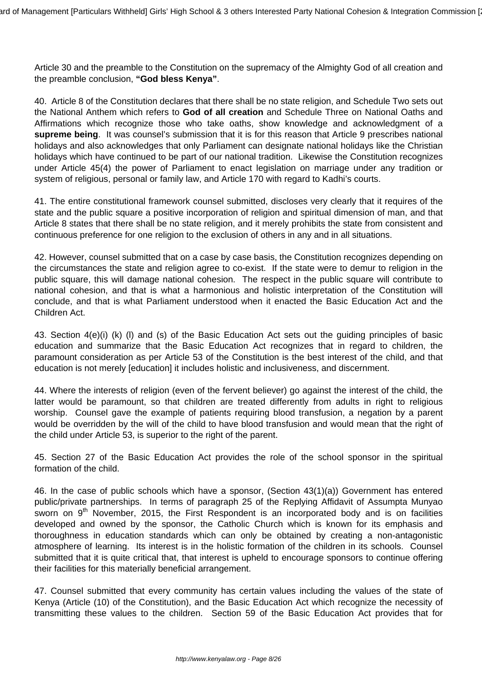Article 30 and the preamble to the Constitution on the supremacy of the Almighty God of all creation and the preamble conclusion, **"God bless Kenya"**.

40. Article 8 of the Constitution declares that there shall be no state religion, and Schedule Two sets out the National Anthem which refers to **God of all creation** and Schedule Three on National Oaths and Affirmations which recognize those who take oaths, show knowledge and acknowledgment of a **supreme being**. It was counsel's submission that it is for this reason that Article 9 prescribes national holidays and also acknowledges that only Parliament can designate national holidays like the Christian holidays which have continued to be part of our national tradition. Likewise the Constitution recognizes under Article 45(4) the power of Parliament to enact legislation on marriage under any tradition or system of religious, personal or family law, and Article 170 with regard to Kadhi's courts.

41. The entire constitutional framework counsel submitted, discloses very clearly that it requires of the state and the public square a positive incorporation of religion and spiritual dimension of man, and that Article 8 states that there shall be no state religion, and it merely prohibits the state from consistent and continuous preference for one religion to the exclusion of others in any and in all situations.

42. However, counsel submitted that on a case by case basis, the Constitution recognizes depending on the circumstances the state and religion agree to co-exist. If the state were to demur to religion in the public square, this will damage national cohesion. The respect in the public square will contribute to national cohesion, and that is what a harmonious and holistic interpretation of the Constitution will conclude, and that is what Parliament understood when it enacted the Basic Education Act and the Children Act.

43. Section 4(e)(i) (k) (l) and (s) of the Basic Education Act sets out the guiding principles of basic education and summarize that the Basic Education Act recognizes that in regard to children, the paramount consideration as per Article 53 of the Constitution is the best interest of the child, and that education is not merely [education] it includes holistic and inclusiveness, and discernment.

44. Where the interests of religion (even of the fervent believer) go against the interest of the child, the latter would be paramount, so that children are treated differently from adults in right to religious worship. Counsel gave the example of patients requiring blood transfusion, a negation by a parent would be overridden by the will of the child to have blood transfusion and would mean that the right of the child under Article 53, is superior to the right of the parent.

45. Section 27 of the Basic Education Act provides the role of the school sponsor in the spiritual formation of the child.

46. In the case of public schools which have a sponsor, (Section 43(1)(a)) Government has entered public/private partnerships. In terms of paragraph 25 of the Replying Affidavit of Assumpta Munyao sworn on  $9<sup>th</sup>$  November, 2015, the First Respondent is an incorporated body and is on facilities developed and owned by the sponsor, the Catholic Church which is known for its emphasis and thoroughness in education standards which can only be obtained by creating a non-antagonistic atmosphere of learning. Its interest is in the holistic formation of the children in its schools. Counsel submitted that it is quite critical that, that interest is upheld to encourage sponsors to continue offering their facilities for this materially beneficial arrangement.

47. Counsel submitted that every community has certain values including the values of the state of Kenya (Article (10) of the Constitution), and the Basic Education Act which recognize the necessity of transmitting these values to the children. Section 59 of the Basic Education Act provides that for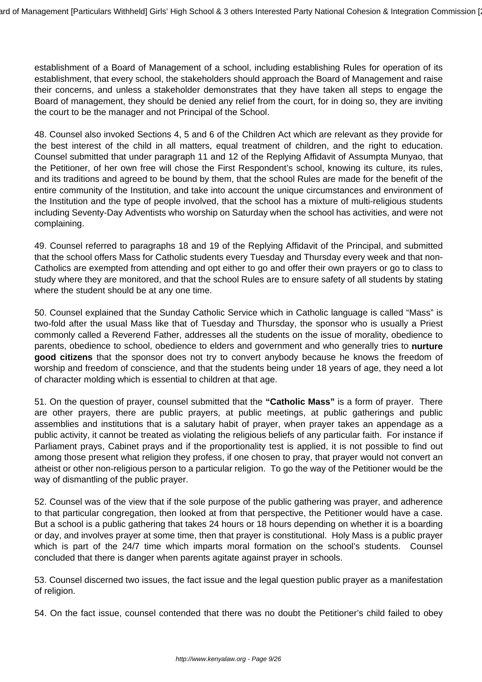establishment of a Board of Management of a school, including establishing Rules for operation of its establishment, that every school, the stakeholders should approach the Board of Management and raise their concerns, and unless a stakeholder demonstrates that they have taken all steps to engage the Board of management, they should be denied any relief from the court, for in doing so, they are inviting the court to be the manager and not Principal of the School.

48. Counsel also invoked Sections 4, 5 and 6 of the Children Act which are relevant as they provide for the best interest of the child in all matters, equal treatment of children, and the right to education. Counsel submitted that under paragraph 11 and 12 of the Replying Affidavit of Assumpta Munyao, that the Petitioner, of her own free will chose the First Respondent's school, knowing its culture, its rules, and its traditions and agreed to be bound by them, that the school Rules are made for the benefit of the entire community of the Institution, and take into account the unique circumstances and environment of the Institution and the type of people involved, that the school has a mixture of multi-religious students including Seventy-Day Adventists who worship on Saturday when the school has activities, and were not complaining.

49. Counsel referred to paragraphs 18 and 19 of the Replying Affidavit of the Principal, and submitted that the school offers Mass for Catholic students every Tuesday and Thursday every week and that non-Catholics are exempted from attending and opt either to go and offer their own prayers or go to class to study where they are monitored, and that the school Rules are to ensure safety of all students by stating where the student should be at any one time.

50. Counsel explained that the Sunday Catholic Service which in Catholic language is called "Mass" is two-fold after the usual Mass like that of Tuesday and Thursday, the sponsor who is usually a Priest commonly called a Reverend Father, addresses all the students on the issue of morality, obedience to parents, obedience to school, obedience to elders and government and who generally tries to **nurture good citizens** that the sponsor does not try to convert anybody because he knows the freedom of worship and freedom of conscience, and that the students being under 18 years of age, they need a lot of character molding which is essential to children at that age.

51. On the question of prayer, counsel submitted that the **"Catholic Mass"** is a form of prayer. There are other prayers, there are public prayers, at public meetings, at public gatherings and public assemblies and institutions that is a salutary habit of prayer, when prayer takes an appendage as a public activity, it cannot be treated as violating the religious beliefs of any particular faith. For instance if Parliament prays, Cabinet prays and if the proportionality test is applied, it is not possible to find out among those present what religion they profess, if one chosen to pray, that prayer would not convert an atheist or other non-religious person to a particular religion. To go the way of the Petitioner would be the way of dismantling of the public prayer.

52. Counsel was of the view that if the sole purpose of the public gathering was prayer, and adherence to that particular congregation, then looked at from that perspective, the Petitioner would have a case. But a school is a public gathering that takes 24 hours or 18 hours depending on whether it is a boarding or day, and involves prayer at some time, then that prayer is constitutional. Holy Mass is a public prayer which is part of the 24/7 time which imparts moral formation on the school's students. Counsel concluded that there is danger when parents agitate against prayer in schools.

53. Counsel discerned two issues, the fact issue and the legal question public prayer as a manifestation of religion.

54. On the fact issue, counsel contended that there was no doubt the Petitioner's child failed to obey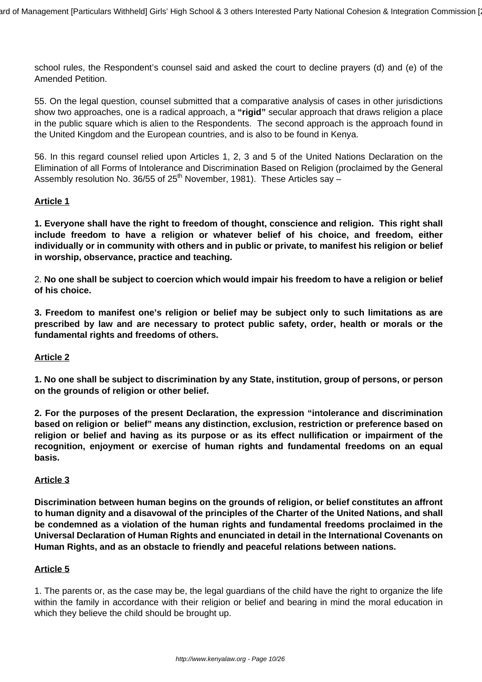school rules, the Respondent's counsel said and asked the court to decline prayers (d) and (e) of the Amended Petition.

55. On the legal question, counsel submitted that a comparative analysis of cases in other jurisdictions show two approaches, one is a radical approach, a **"rigid"** secular approach that draws religion a place in the public square which is alien to the Respondents. The second approach is the approach found in the United Kingdom and the European countries, and is also to be found in Kenya.

56. In this regard counsel relied upon Articles 1, 2, 3 and 5 of the United Nations Declaration on the Elimination of all Forms of Intolerance and Discrimination Based on Religion (proclaimed by the General Assembly resolution No. 36/55 of  $25<sup>th</sup>$  November, 1981). These Articles say –

#### **Article 1**

**1. Everyone shall have the right to freedom of thought, conscience and religion. This right shall include freedom to have a religion or whatever belief of his choice, and freedom, either individually or in community with others and in public or private, to manifest his religion or belief in worship, observance, practice and teaching.**

2. **No one shall be subject to coercion which would impair his freedom to have a religion or belief of his choice.**

**3. Freedom to manifest one's religion or belief may be subject only to such limitations as are prescribed by law and are necessary to protect public safety, order, health or morals or the fundamental rights and freedoms of others.**

# **Article 2**

**1. No one shall be subject to discrimination by any State, institution, group of persons, or person on the grounds of religion or other belief.**

**2. For the purposes of the present Declaration, the expression "intolerance and discrimination based on religion or belief" means any distinction, exclusion, restriction or preference based on religion or belief and having as its purpose or as its effect nullification or impairment of the recognition, enjoyment or exercise of human rights and fundamental freedoms on an equal basis.**

#### **Article 3**

**Discrimination between human begins on the grounds of religion, or belief constitutes an affront to human dignity and a disavowal of the principles of the Charter of the United Nations, and shall be condemned as a violation of the human rights and fundamental freedoms proclaimed in the Universal Declaration of Human Rights and enunciated in detail in the International Covenants on Human Rights, and as an obstacle to friendly and peaceful relations between nations.**

#### **Article 5**

1. The parents or, as the case may be, the legal guardians of the child have the right to organize the life within the family in accordance with their religion or belief and bearing in mind the moral education in which they believe the child should be brought up.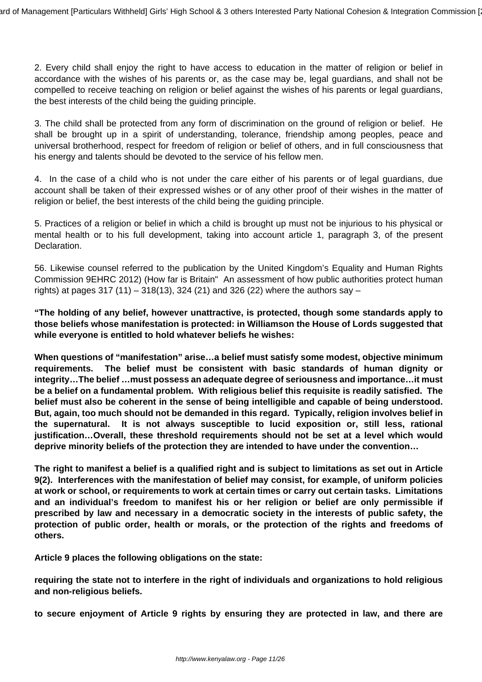2. Every child shall enjoy the right to have access to education in the matter of religion or belief in accordance with the wishes of his parents or, as the case may be, legal guardians, and shall not be compelled to receive teaching on religion or belief against the wishes of his parents or legal guardians, the best interests of the child being the guiding principle.

3. The child shall be protected from any form of discrimination on the ground of religion or belief. He shall be brought up in a spirit of understanding, tolerance, friendship among peoples, peace and universal brotherhood, respect for freedom of religion or belief of others, and in full consciousness that his energy and talents should be devoted to the service of his fellow men.

4. In the case of a child who is not under the care either of his parents or of legal guardians, due account shall be taken of their expressed wishes or of any other proof of their wishes in the matter of religion or belief, the best interests of the child being the guiding principle.

5. Practices of a religion or belief in which a child is brought up must not be injurious to his physical or mental health or to his full development, taking into account article 1, paragraph 3, of the present Declaration.

56. Likewise counsel referred to the publication by the United Kingdom's Equality and Human Rights Commission 9EHRC 2012) (How far is Britain" An assessment of how public authorities protect human rights) at pages 317 (11) – 318(13), 324 (21) and 326 (22) where the authors say –

**"The holding of any belief, however unattractive, is protected, though some standards apply to those beliefs whose manifestation is protected: in Williamson the House of Lords suggested that while everyone is entitled to hold whatever beliefs he wishes:**

**When questions of "manifestation" arise…a belief must satisfy some modest, objective minimum requirements. The belief must be consistent with basic standards of human dignity or integrity…The belief …must possess an adequate degree of seriousness and importance…it must be a belief on a fundamental problem. With religious belief this requisite is readily satisfied. The belief must also be coherent in the sense of being intelligible and capable of being understood. But, again, too much should not be demanded in this regard. Typically, religion involves belief in the supernatural. It is not always susceptible to lucid exposition or, still less, rational justification…Overall, these threshold requirements should not be set at a level which would deprive minority beliefs of the protection they are intended to have under the convention…**

**The right to manifest a belief is a qualified right and is subject to limitations as set out in Article 9(2). Interferences with the manifestation of belief may consist, for example, of uniform policies at work or school, or requirements to work at certain times or carry out certain tasks. Limitations and an individual's freedom to manifest his or her religion or belief are only permissible if prescribed by law and necessary in a democratic society in the interests of public safety, the protection of public order, health or morals, or the protection of the rights and freedoms of others.**

**Article 9 places the following obligations on the state:** 

**requiring the state not to interfere in the right of individuals and organizations to hold religious and non-religious beliefs.**

**to secure enjoyment of Article 9 rights by ensuring they are protected in law, and there are**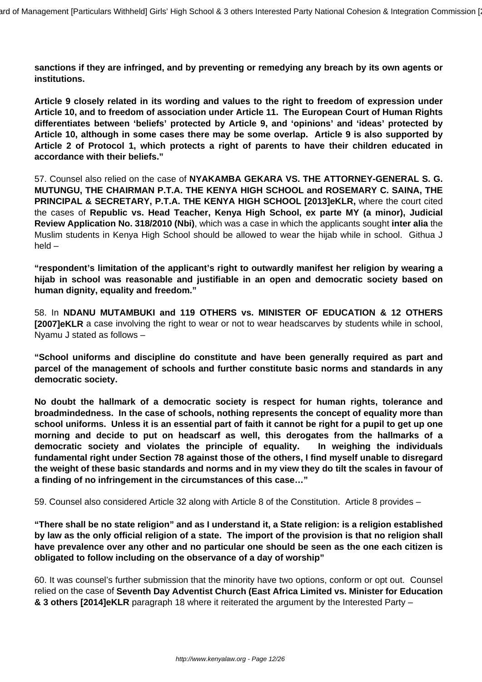**sanctions if they are infringed, and by preventing or remedying any breach by its own agents or institutions.**

**Article 9 closely related in its wording and values to the right to freedom of expression under Article 10, and to freedom of association under Article 11. The European Court of Human Rights differentiates between 'beliefs' protected by Article 9, and 'opinions' and 'ideas' protected by Article 10, although in some cases there may be some overlap. Article 9 is also supported by Article 2 of Protocol 1, which protects a right of parents to have their children educated in accordance with their beliefs."**

57. Counsel also relied on the case of **NYAKAMBA GEKARA VS. THE ATTORNEY-GENERAL S. G. MUTUNGU, THE CHAIRMAN P.T.A. THE KENYA HIGH SCHOOL and ROSEMARY C. SAINA, THE PRINCIPAL & SECRETARY, P.T.A. THE KENYA HIGH SCHOOL [2013]eKLR,** where the court cited the cases of **Republic vs. Head Teacher, Kenya High School, ex parte MY (a minor), Judicial Review Application No. 318/2010 (Nbi)**, which was a case in which the applicants sought **inter alia** the Muslim students in Kenya High School should be allowed to wear the hijab while in school. Githua J held –

**"respondent's limitation of the applicant's right to outwardly manifest her religion by wearing a hijab in school was reasonable and justifiable in an open and democratic society based on human dignity, equality and freedom."**

58. In **NDANU MUTAMBUKI and 119 OTHERS vs. MINISTER OF EDUCATION & 12 OTHERS [2007]eKLR** a case involving the right to wear or not to wear headscarves by students while in school, Nyamu J stated as follows –

**"School uniforms and discipline do constitute and have been generally required as part and parcel of the management of schools and further constitute basic norms and standards in any democratic society.**

**No doubt the hallmark of a democratic society is respect for human rights, tolerance and broadmindedness. In the case of schools, nothing represents the concept of equality more than school uniforms. Unless it is an essential part of faith it cannot be right for a pupil to get up one morning and decide to put on headscarf as well, this derogates from the hallmarks of a democratic society and violates the principle of equality. In weighing the individuals fundamental right under Section 78 against those of the others, I find myself unable to disregard the weight of these basic standards and norms and in my view they do tilt the scales in favour of a finding of no infringement in the circumstances of this case…"**

59. Counsel also considered Article 32 along with Article 8 of the Constitution. Article 8 provides –

**"There shall be no state religion" and as I understand it, a State religion: is a religion established by law as the only official religion of a state. The import of the provision is that no religion shall have prevalence over any other and no particular one should be seen as the one each citizen is obligated to follow including on the observance of a day of worship"**

60. It was counsel's further submission that the minority have two options, conform or opt out. Counsel relied on the case of **Seventh Day Adventist Church (East Africa Limited vs. Minister for Education & 3 others [2014]eKLR** paragraph 18 where it reiterated the argument by the Interested Party –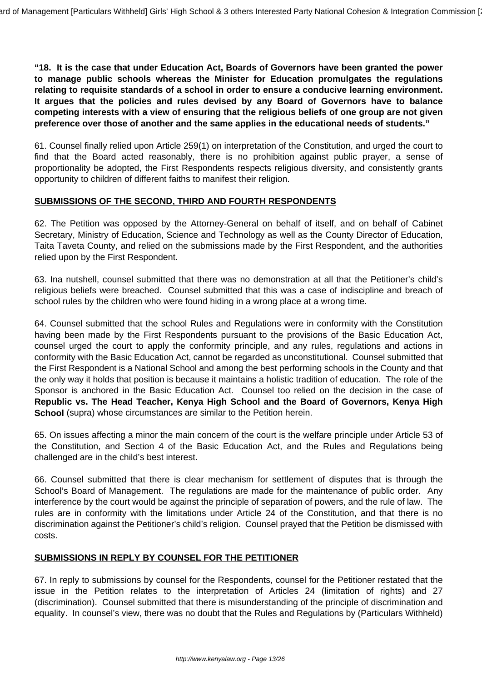**"18. It is the case that under Education Act, Boards of Governors have been granted the power to manage public schools whereas the Minister for Education promulgates the regulations relating to requisite standards of a school in order to ensure a conducive learning environment. It argues that the policies and rules devised by any Board of Governors have to balance competing interests with a view of ensuring that the religious beliefs of one group are not given preference over those of another and the same applies in the educational needs of students."**

61. Counsel finally relied upon Article 259(1) on interpretation of the Constitution, and urged the court to find that the Board acted reasonably, there is no prohibition against public prayer, a sense of proportionality be adopted, the First Respondents respects religious diversity, and consistently grants opportunity to children of different faiths to manifest their religion.

#### **SUBMISSIONS OF THE SECOND, THIRD AND FOURTH RESPONDENTS**

62. The Petition was opposed by the Attorney-General on behalf of itself, and on behalf of Cabinet Secretary, Ministry of Education, Science and Technology as well as the County Director of Education, Taita Taveta County, and relied on the submissions made by the First Respondent, and the authorities relied upon by the First Respondent.

63. Ina nutshell, counsel submitted that there was no demonstration at all that the Petitioner's child's religious beliefs were breached. Counsel submitted that this was a case of indiscipline and breach of school rules by the children who were found hiding in a wrong place at a wrong time.

64. Counsel submitted that the school Rules and Regulations were in conformity with the Constitution having been made by the First Respondents pursuant to the provisions of the Basic Education Act, counsel urged the court to apply the conformity principle, and any rules, regulations and actions in conformity with the Basic Education Act, cannot be regarded as unconstitutional. Counsel submitted that the First Respondent is a National School and among the best performing schools in the County and that the only way it holds that position is because it maintains a holistic tradition of education. The role of the Sponsor is anchored in the Basic Education Act. Counsel too relied on the decision in the case of **Republic vs. The Head Teacher, Kenya High School and the Board of Governors, Kenya High School** (supra) whose circumstances are similar to the Petition herein.

65. On issues affecting a minor the main concern of the court is the welfare principle under Article 53 of the Constitution, and Section 4 of the Basic Education Act, and the Rules and Regulations being challenged are in the child's best interest.

66. Counsel submitted that there is clear mechanism for settlement of disputes that is through the School's Board of Management. The regulations are made for the maintenance of public order. Any interference by the court would be against the principle of separation of powers, and the rule of law. The rules are in conformity with the limitations under Article 24 of the Constitution, and that there is no discrimination against the Petitioner's child's religion. Counsel prayed that the Petition be dismissed with costs.

# **SUBMISSIONS IN REPLY BY COUNSEL FOR THE PETITIONER**

67. In reply to submissions by counsel for the Respondents, counsel for the Petitioner restated that the issue in the Petition relates to the interpretation of Articles 24 (limitation of rights) and 27 (discrimination). Counsel submitted that there is misunderstanding of the principle of discrimination and equality. In counsel's view, there was no doubt that the Rules and Regulations by (Particulars Withheld)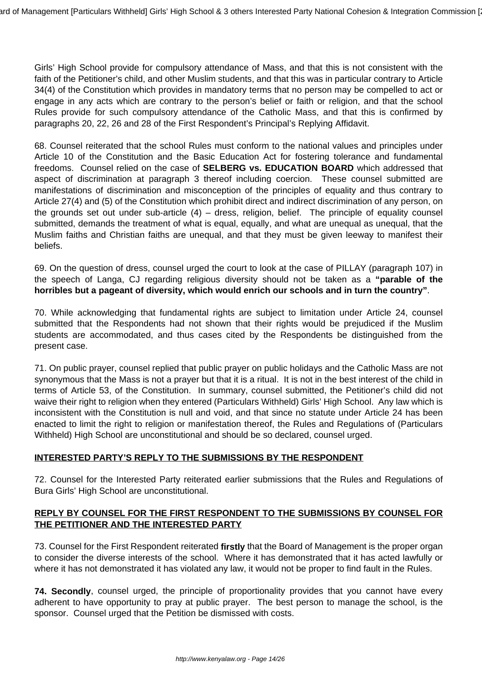Girls' High School provide for compulsory attendance of Mass, and that this is not consistent with the faith of the Petitioner's child, and other Muslim students, and that this was in particular contrary to Article 34(4) of the Constitution which provides in mandatory terms that no person may be compelled to act or engage in any acts which are contrary to the person's belief or faith or religion, and that the school Rules provide for such compulsory attendance of the Catholic Mass, and that this is confirmed by paragraphs 20, 22, 26 and 28 of the First Respondent's Principal's Replying Affidavit.

68. Counsel reiterated that the school Rules must conform to the national values and principles under Article 10 of the Constitution and the Basic Education Act for fostering tolerance and fundamental freedoms. Counsel relied on the case of **SELBERG vs. EDUCATION BOARD** which addressed that aspect of discrimination at paragraph 3 thereof including coercion. These counsel submitted are manifestations of discrimination and misconception of the principles of equality and thus contrary to Article 27(4) and (5) of the Constitution which prohibit direct and indirect discrimination of any person, on the grounds set out under sub-article (4) – dress, religion, belief. The principle of equality counsel submitted, demands the treatment of what is equal, equally, and what are unequal as unequal, that the Muslim faiths and Christian faiths are unequal, and that they must be given leeway to manifest their beliefs.

69. On the question of dress, counsel urged the court to look at the case of PILLAY (paragraph 107) in the speech of Langa, CJ regarding religious diversity should not be taken as a **"parable of the horribles but a pageant of diversity, which would enrich our schools and in turn the country"**.

70. While acknowledging that fundamental rights are subject to limitation under Article 24, counsel submitted that the Respondents had not shown that their rights would be prejudiced if the Muslim students are accommodated, and thus cases cited by the Respondents be distinguished from the present case.

71. On public prayer, counsel replied that public prayer on public holidays and the Catholic Mass are not synonymous that the Mass is not a prayer but that it is a ritual. It is not in the best interest of the child in terms of Article 53, of the Constitution. In summary, counsel submitted, the Petitioner's child did not waive their right to religion when they entered (Particulars Withheld) Girls' High School. Any law which is inconsistent with the Constitution is null and void, and that since no statute under Article 24 has been enacted to limit the right to religion or manifestation thereof, the Rules and Regulations of (Particulars Withheld) High School are unconstitutional and should be so declared, counsel urged.

# **INTERESTED PARTY'S REPLY TO THE SUBMISSIONS BY THE RESPONDENT**

72. Counsel for the Interested Party reiterated earlier submissions that the Rules and Regulations of Bura Girls' High School are unconstitutional.

## **REPLY BY COUNSEL FOR THE FIRST RESPONDENT TO THE SUBMISSIONS BY COUNSEL FOR THE PETITIONER AND THE INTERESTED PARTY**

73. Counsel for the First Respondent reiterated **firstly** that the Board of Management is the proper organ to consider the diverse interests of the school. Where it has demonstrated that it has acted lawfully or where it has not demonstrated it has violated any law, it would not be proper to find fault in the Rules.

**74. Secondly**, counsel urged, the principle of proportionality provides that you cannot have every adherent to have opportunity to pray at public prayer. The best person to manage the school, is the sponsor. Counsel urged that the Petition be dismissed with costs.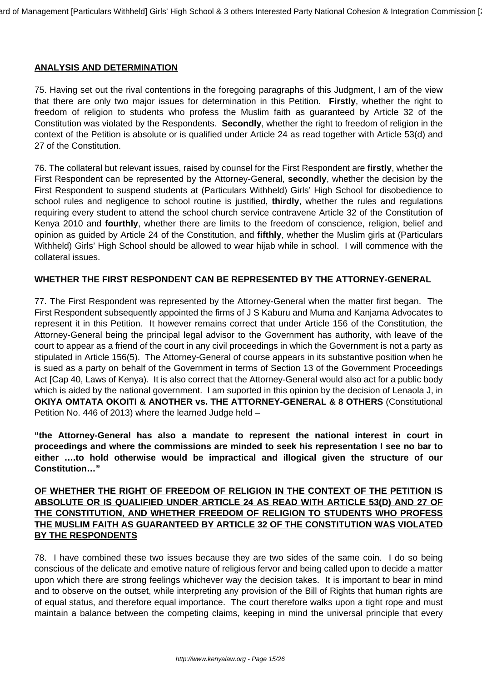## **ANALYSIS AND DETERMINATION**

75. Having set out the rival contentions in the foregoing paragraphs of this Judgment, I am of the view that there are only two major issues for determination in this Petition. **Firstly**, whether the right to freedom of religion to students who profess the Muslim faith as guaranteed by Article 32 of the Constitution was violated by the Respondents. **Secondly**, whether the right to freedom of religion in the context of the Petition is absolute or is qualified under Article 24 as read together with Article 53(d) and 27 of the Constitution.

76. The collateral but relevant issues, raised by counsel for the First Respondent are **firstly**, whether the First Respondent can be represented by the Attorney-General, **secondly**, whether the decision by the First Respondent to suspend students at (Particulars Withheld) Girls' High School for disobedience to school rules and negligence to school routine is justified, **thirdly**, whether the rules and regulations requiring every student to attend the school church service contravene Article 32 of the Constitution of Kenya 2010 and **fourthly**, whether there are limits to the freedom of conscience, religion, belief and opinion as guided by Article 24 of the Constitution, and **fifthly**, whether the Muslim girls at (Particulars Withheld) Girls' High School should be allowed to wear hijab while in school. I will commence with the collateral issues.

## **WHETHER THE FIRST RESPONDENT CAN BE REPRESENTED BY THE ATTORNEY-GENERAL**

77. The First Respondent was represented by the Attorney-General when the matter first began. The First Respondent subsequently appointed the firms of J S Kaburu and Muma and Kanjama Advocates to represent it in this Petition. It however remains correct that under Article 156 of the Constitution, the Attorney-General being the principal legal advisor to the Government has authority, with leave of the court to appear as a friend of the court in any civil proceedings in which the Government is not a party as stipulated in Article 156(5). The Attorney-General of course appears in its substantive position when he is sued as a party on behalf of the Government in terms of Section 13 of the Government Proceedings Act [Cap 40, Laws of Kenya). It is also correct that the Attorney-General would also act for a public body which is aided by the national government. I am suported in this opinion by the decision of Lenaola J, in **OKIYA OMTATA OKOITI & ANOTHER vs. THE ATTORNEY-GENERAL & 8 OTHERS** (Constitutional Petition No. 446 of 2013) where the learned Judge held –

**"the Attorney-General has also a mandate to represent the national interest in court in proceedings and where the commissions are minded to seek his representation I see no bar to either ….to hold otherwise would be impractical and illogical given the structure of our Constitution…"**

## **OF WHETHER THE RIGHT OF FREEDOM OF RELIGION IN THE CONTEXT OF THE PETITION IS ABSOLUTE OR IS QUALIFIED UNDER ARTICLE 24 AS READ WITH ARTICLE 53(D) AND 27 OF THE CONSTITUTION, AND WHETHER FREEDOM OF RELIGION TO STUDENTS WHO PROFESS THE MUSLIM FAITH AS GUARANTEED BY ARTICLE 32 OF THE CONSTITUTION WAS VIOLATED BY THE RESPONDENTS**

78. I have combined these two issues because they are two sides of the same coin. I do so being conscious of the delicate and emotive nature of religious fervor and being called upon to decide a matter upon which there are strong feelings whichever way the decision takes. It is important to bear in mind and to observe on the outset, while interpreting any provision of the Bill of Rights that human rights are of equal status, and therefore equal importance. The court therefore walks upon a tight rope and must maintain a balance between the competing claims, keeping in mind the universal principle that every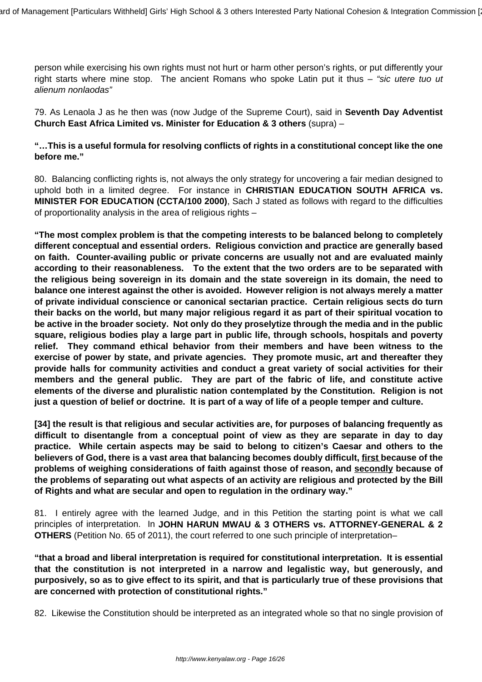person while exercising his own rights must not hurt or harm other person's rights, or put differently your right starts where mine stop. The ancient Romans who spoke Latin put it thus – "sic utere tuo ut alienum nonlaodas"

79. As Lenaola J as he then was (now Judge of the Supreme Court), said in **Seventh Day Adventist Church East Africa Limited vs. Minister for Education & 3 others** (supra) –

## **"…This is a useful formula for resolving conflicts of rights in a constitutional concept like the one before me."**

80. Balancing conflicting rights is, not always the only strategy for uncovering a fair median designed to uphold both in a limited degree. For instance in **CHRISTIAN EDUCATION SOUTH AFRICA vs. MINISTER FOR EDUCATION (CCTA/100 2000)**, Sach J stated as follows with regard to the difficulties of proportionality analysis in the area of religious rights –

**"The most complex problem is that the competing interests to be balanced belong to completely different conceptual and essential orders. Religious conviction and practice are generally based on faith. Counter-availing public or private concerns are usually not and are evaluated mainly according to their reasonableness. To the extent that the two orders are to be separated with the religious being sovereign in its domain and the state sovereign in its domain, the need to balance one interest against the other is avoided. However religion is not always merely a matter of private individual conscience or canonical sectarian practice. Certain religious sects do turn their backs on the world, but many major religious regard it as part of their spiritual vocation to be active in the broader society. Not only do they proselytize through the media and in the public square, religious bodies play a large part in public life, through schools, hospitals and poverty relief. They command ethical behavior from their members and have been witness to the exercise of power by state, and private agencies. They promote music, art and thereafter they provide halls for community activities and conduct a great variety of social activities for their members and the general public. They are part of the fabric of life, and constitute active elements of the diverse and pluralistic nation contemplated by the Constitution. Religion is not just a question of belief or doctrine. It is part of a way of life of a people temper and culture.**

**[34] the result is that religious and secular activities are, for purposes of balancing frequently as difficult to disentangle from a conceptual point of view as they are separate in day to day practice. While certain aspects may be said to belong to citizen's Caesar and others to the believers of God, there is a vast area that balancing becomes doubly difficult, first because of the problems of weighing considerations of faith against those of reason, and secondly because of the problems of separating out what aspects of an activity are religious and protected by the Bill of Rights and what are secular and open to regulation in the ordinary way."**

81. I entirely agree with the learned Judge, and in this Petition the starting point is what we call principles of interpretation. In **JOHN HARUN MWAU & 3 OTHERS vs. ATTORNEY-GENERAL & 2 OTHERS** (Petition No. 65 of 2011), the court referred to one such principle of interpretation–

**"that a broad and liberal interpretation is required for constitutional interpretation. It is essential that the constitution is not interpreted in a narrow and legalistic way, but generously, and purposively, so as to give effect to its spirit, and that is particularly true of these provisions that are concerned with protection of constitutional rights."**

82. Likewise the Constitution should be interpreted as an integrated whole so that no single provision of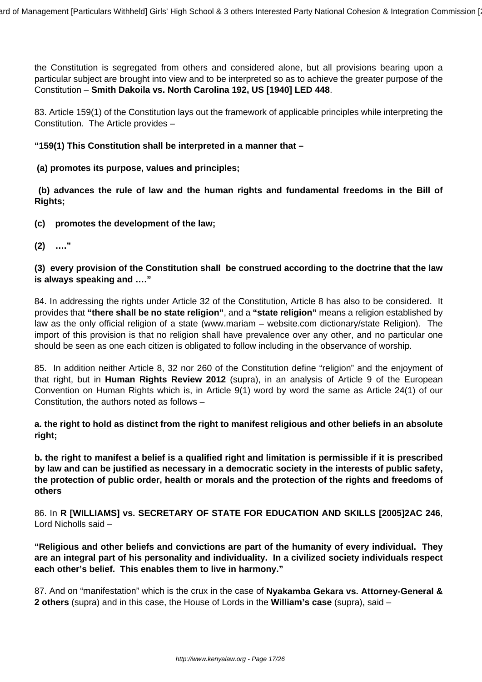the Constitution is segregated from others and considered alone, but all provisions bearing upon a particular subject are brought into view and to be interpreted so as to achieve the greater purpose of the Constitution – **Smith Dakoila vs. North Carolina 192, US [1940] LED 448**.

83. Article 159(1) of the Constitution lays out the framework of applicable principles while interpreting the Constitution. The Article provides –

**"159(1) This Constitution shall be interpreted in a manner that –**

**(a) promotes its purpose, values and principles;**

**(b) advances the rule of law and the human rights and fundamental freedoms in the Bill of Rights;**

**(c) promotes the development of the law;**

**(2) …."**

## **(3) every provision of the Constitution shall be construed according to the doctrine that the law is always speaking and …."**

84. In addressing the rights under Article 32 of the Constitution, Article 8 has also to be considered. It provides that **"there shall be no state religion"**, and a **"state religion"** means a religion established by law as the only official religion of a state (www.mariam – website.com dictionary/state Religion). The import of this provision is that no religion shall have prevalence over any other, and no particular one should be seen as one each citizen is obligated to follow including in the observance of worship.

85. In addition neither Article 8, 32 nor 260 of the Constitution define "religion" and the enjoyment of that right, but in **Human Rights Review 2012** (supra), in an analysis of Article 9 of the European Convention on Human Rights which is, in Article 9(1) word by word the same as Article 24(1) of our Constitution, the authors noted as follows –

**a. the right to hold as distinct from the right to manifest religious and other beliefs in an absolute right;**

**b. the right to manifest a belief is a qualified right and limitation is permissible if it is prescribed by law and can be justified as necessary in a democratic society in the interests of public safety, the protection of public order, health or morals and the protection of the rights and freedoms of others**

86. In **R [WILLIAMS] vs. SECRETARY OF STATE FOR EDUCATION AND SKILLS [2005]2AC 246**, Lord Nicholls said –

**"Religious and other beliefs and convictions are part of the humanity of every individual. They are an integral part of his personality and individuality. In a civilized society individuals respect each other's belief. This enables them to live in harmony."**

87. And on "manifestation" which is the crux in the case of **Nyakamba Gekara vs. Attorney-General & 2 others** (supra) and in this case, the House of Lords in the **William's case** (supra), said –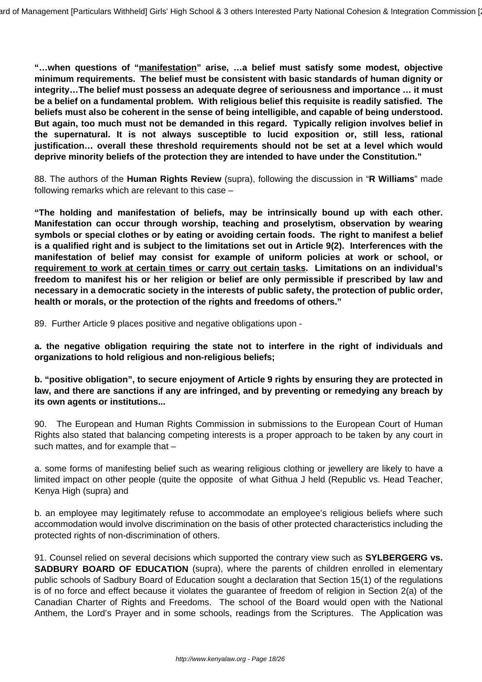**"…when questions of "manifestation" arise, …a belief must satisfy some modest, objective minimum requirements. The belief must be consistent with basic standards of human dignity or integrity…The belief must possess an adequate degree of seriousness and importance … it must be a belief on a fundamental problem. With religious belief this requisite is readily satisfied. The beliefs must also be coherent in the sense of being intelligible, and capable of being understood. But again, too much must not be demanded in this regard. Typically religion involves belief in the supernatural. It is not always susceptible to lucid exposition or, still less, rational justification… overall these threshold requirements should not be set at a level which would deprive minority beliefs of the protection they are intended to have under the Constitution."**

88. The authors of the **Human Rights Review** (supra), following the discussion in "**R Williams**" made following remarks which are relevant to this case –

**"The holding and manifestation of beliefs, may be intrinsically bound up with each other. Manifestation can occur through worship, teaching and proselytism, observation by wearing symbols or special clothes or by eating or avoiding certain foods. The right to manifest a belief is a qualified right and is subject to the limitations set out in Article 9(2). Interferences with the manifestation of belief may consist for example of uniform policies at work or school, or requirement to work at certain times or carry out certain tasks. Limitations on an individual's freedom to manifest his or her religion or belief are only permissible if prescribed by law and necessary in a democratic society in the interests of public safety, the protection of public order, health or morals, or the protection of the rights and freedoms of others."**

89. Further Article 9 places positive and negative obligations upon -

**a. the negative obligation requiring the state not to interfere in the right of individuals and organizations to hold religious and non-religious beliefs;**

**b. "positive obligation", to secure enjoyment of Article 9 rights by ensuring they are protected in law, and there are sanctions if any are infringed, and by preventing or remedying any breach by its own agents or institutions...**

90. The European and Human Rights Commission in submissions to the European Court of Human Rights also stated that balancing competing interests is a proper approach to be taken by any court in such mattes, and for example that –

a. some forms of manifesting belief such as wearing religious clothing or jewellery are likely to have a limited impact on other people (quite the opposite of what Githua J held (Republic vs. Head Teacher, Kenya High (supra) and

b. an employee may legitimately refuse to accommodate an employee's religious beliefs where such accommodation would involve discrimination on the basis of other protected characteristics including the protected rights of non-discrimination of others.

91. Counsel relied on several decisions which supported the contrary view such as **SYLBERGERG vs. SADBURY BOARD OF EDUCATION** (supra), where the parents of children enrolled in elementary public schools of Sadbury Board of Education sought a declaration that Section 15(1) of the regulations is of no force and effect because it violates the guarantee of freedom of religion in Section 2(a) of the Canadian Charter of Rights and Freedoms. The school of the Board would open with the National Anthem, the Lord's Prayer and in some schools, readings from the Scriptures. The Application was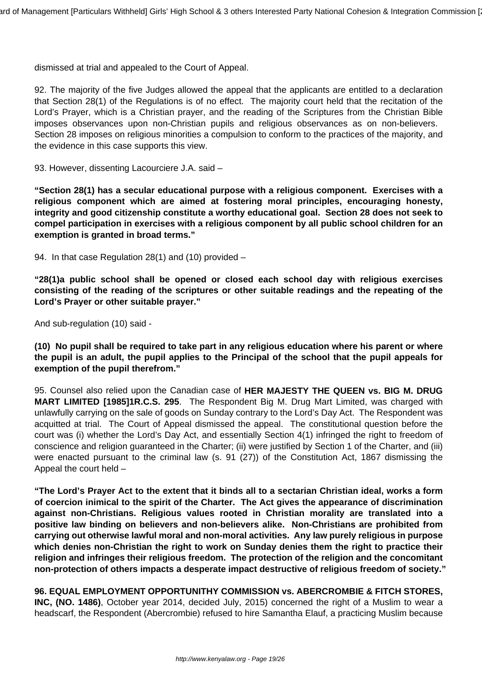dismissed at trial and appealed to the Court of Appeal.

92. The majority of the five Judges allowed the appeal that the applicants are entitled to a declaration that Section 28(1) of the Regulations is of no effect. The majority court held that the recitation of the Lord's Prayer, which is a Christian prayer, and the reading of the Scriptures from the Christian Bible imposes observances upon non-Christian pupils and religious observances as on non-believers. Section 28 imposes on religious minorities a compulsion to conform to the practices of the majority, and the evidence in this case supports this view.

93. However, dissenting Lacourciere J.A. said –

**"Section 28(1) has a secular educational purpose with a religious component. Exercises with a religious component which are aimed at fostering moral principles, encouraging honesty, integrity and good citizenship constitute a worthy educational goal. Section 28 does not seek to compel participation in exercises with a religious component by all public school children for an exemption is granted in broad terms."**

94. In that case Regulation 28(1) and (10) provided –

**"28(1)a public school shall be opened or closed each school day with religious exercises consisting of the reading of the scriptures or other suitable readings and the repeating of the Lord's Prayer or other suitable prayer."**

And sub-regulation (10) said -

**(10) No pupil shall be required to take part in any religious education where his parent or where the pupil is an adult, the pupil applies to the Principal of the school that the pupil appeals for exemption of the pupil therefrom."**

95. Counsel also relied upon the Canadian case of **HER MAJESTY THE QUEEN vs. BIG M. DRUG MART LIMITED [1985]1R.C.S. 295**. The Respondent Big M. Drug Mart Limited, was charged with unlawfully carrying on the sale of goods on Sunday contrary to the Lord's Day Act. The Respondent was acquitted at trial. The Court of Appeal dismissed the appeal. The constitutional question before the court was (i) whether the Lord's Day Act, and essentially Section 4(1) infringed the right to freedom of conscience and religion guaranteed in the Charter; (ii) were justified by Section 1 of the Charter, and (iii) were enacted pursuant to the criminal law (s. 91 (27)) of the Constitution Act, 1867 dismissing the Appeal the court held –

**"The Lord's Prayer Act to the extent that it binds all to a sectarian Christian ideal, works a form of coercion inimical to the spirit of the Charter. The Act gives the appearance of discrimination against non-Christians. Religious values rooted in Christian morality are translated into a positive law binding on believers and non-believers alike. Non-Christians are prohibited from carrying out otherwise lawful moral and non-moral activities. Any law purely religious in purpose which denies non-Christian the right to work on Sunday denies them the right to practice their religion and infringes their religious freedom. The protection of the religion and the concomitant non-protection of others impacts a desperate impact destructive of religious freedom of society."**

**96. EQUAL EMPLOYMENT OPPORTUNITHY COMMISSION vs. ABERCROMBIE & FITCH STORES, INC, (NO. 1486)**, October year 2014, decided July, 2015) concerned the right of a Muslim to wear a headscarf, the Respondent (Abercrombie) refused to hire Samantha Elauf, a practicing Muslim because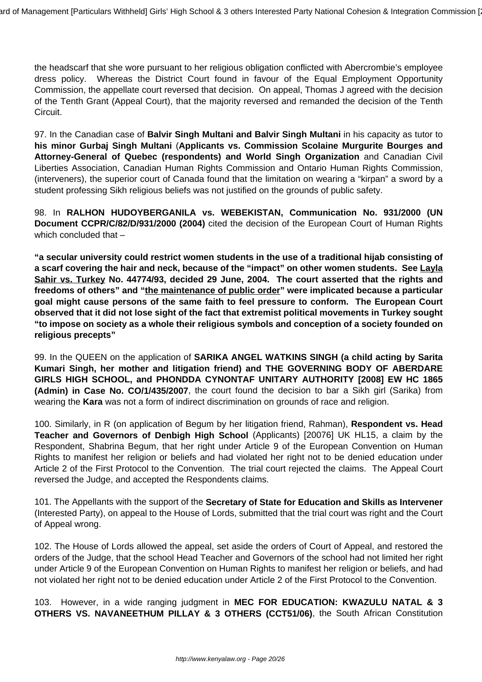the headscarf that she wore pursuant to her religious obligation conflicted with Abercrombie's employee dress policy. Whereas the District Court found in favour of the Equal Employment Opportunity Commission, the appellate court reversed that decision. On appeal, Thomas J agreed with the decision of the Tenth Grant (Appeal Court), that the majority reversed and remanded the decision of the Tenth Circuit.

97. In the Canadian case of **Balvir Singh Multani and Balvir Singh Multani** in his capacity as tutor to **his minor Gurbaj Singh Multani** (**Applicants vs. Commission Scolaine Murgurite Bourges and Attorney-General of Quebec (respondents) and World Singh Organization** and Canadian Civil Liberties Association, Canadian Human Rights Commission and Ontario Human Rights Commission, (interveners), the superior court of Canada found that the limitation on wearing a "kirpan" a sword by a student professing Sikh religious beliefs was not justified on the grounds of public safety.

98. In **RALHON HUDOYBERGANILA vs. WEBEKISTAN, Communication No. 931/2000 (UN Document CCPR/C/82/D/931/2000 (2004)** cited the decision of the European Court of Human Rights which concluded that -

**"a secular university could restrict women students in the use of a traditional hijab consisting of a scarf covering the hair and neck, because of the "impact" on other women students. See Layla Sahir vs. Turkey No. 44774/93, decided 29 June, 2004. The court asserted that the rights and freedoms of others" and "the maintenance of public order" were implicated because a particular goal might cause persons of the same faith to feel pressure to conform. The European Court observed that it did not lose sight of the fact that extremist political movements in Turkey sought "to impose on society as a whole their religious symbols and conception of a society founded on religious precepts"**

99. In the QUEEN on the application of **SARIKA ANGEL WATKINS SINGH (a child acting by Sarita Kumari Singh, her mother and litigation friend) and THE GOVERNING BODY OF ABERDARE GIRLS HIGH SCHOOL, and PHONDDA CYNONTAF UNITARY AUTHORITY [2008] EW HC 1865 (Admin) in Case No. CO/1/435/2007**, the court found the decision to bar a Sikh girl (Sarika) from wearing the **Kara** was not a form of indirect discrimination on grounds of race and religion.

100. Similarly, in R (on application of Begum by her litigation friend, Rahman), **Respondent vs. Head Teacher and Governors of Denbigh High School** (Applicants) [20076] UK HL15, a claim by the Respondent, Shabrina Begum, that her right under Article 9 of the European Convention on Human Rights to manifest her religion or beliefs and had violated her right not to be denied education under Article 2 of the First Protocol to the Convention. The trial court rejected the claims. The Appeal Court reversed the Judge, and accepted the Respondents claims.

101. The Appellants with the support of the **Secretary of State for Education and Skills as Intervener** (Interested Party), on appeal to the House of Lords, submitted that the trial court was right and the Court of Appeal wrong.

102. The House of Lords allowed the appeal, set aside the orders of Court of Appeal, and restored the orders of the Judge, that the school Head Teacher and Governors of the school had not limited her right under Article 9 of the European Convention on Human Rights to manifest her religion or beliefs, and had not violated her right not to be denied education under Article 2 of the First Protocol to the Convention.

103. However, in a wide ranging judgment in **MEC FOR EDUCATION: KWAZULU NATAL & 3 OTHERS VS. NAVANEETHUM PILLAY & 3 OTHERS (CCT51/06)**, the South African Constitution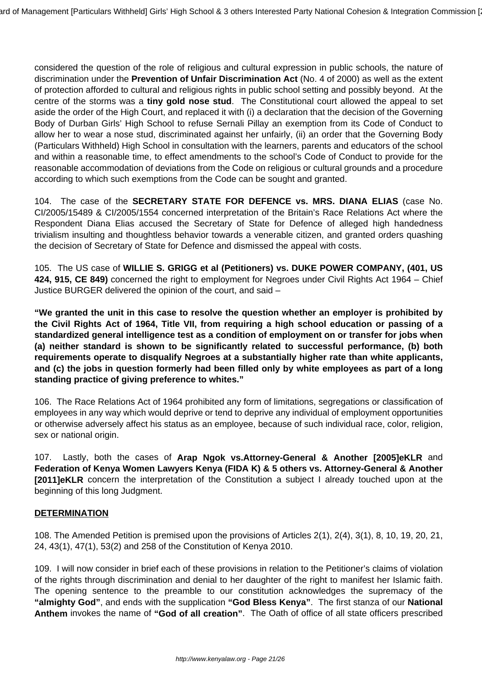considered the question of the role of religious and cultural expression in public schools, the nature of discrimination under the **Prevention of Unfair Discrimination Act** (No. 4 of 2000) as well as the extent of protection afforded to cultural and religious rights in public school setting and possibly beyond. At the centre of the storms was a **tiny gold nose stud**. The Constitutional court allowed the appeal to set aside the order of the High Court, and replaced it with (i) a declaration that the decision of the Governing Body of Durban Girls' High School to refuse Sernali Pillay an exemption from its Code of Conduct to allow her to wear a nose stud, discriminated against her unfairly, (ii) an order that the Governing Body (Particulars Withheld) High School in consultation with the learners, parents and educators of the school and within a reasonable time, to effect amendments to the school's Code of Conduct to provide for the reasonable accommodation of deviations from the Code on religious or cultural grounds and a procedure according to which such exemptions from the Code can be sought and granted.

104. The case of the **SECRETARY STATE FOR DEFENCE vs. MRS. DIANA ELIAS** (case No. CI/2005/15489 & CI/2005/1554 concerned interpretation of the Britain's Race Relations Act where the Respondent Diana Elias accused the Secretary of State for Defence of alleged high handedness trivialism insulting and thoughtless behavior towards a venerable citizen, and granted orders quashing the decision of Secretary of State for Defence and dismissed the appeal with costs.

105. The US case of **WILLIE S. GRIGG et al (Petitioners) vs. DUKE POWER COMPANY, (401, US 424, 915, CE 849)** concerned the right to employment for Negroes under Civil Rights Act 1964 – Chief Justice BURGER delivered the opinion of the court, and said –

**"We granted the unit in this case to resolve the question whether an employer is prohibited by the Civil Rights Act of 1964, Title VII, from requiring a high school education or passing of a standardized general intelligence test as a condition of employment on or transfer for jobs when (a) neither standard is shown to be significantly related to successful performance, (b) both requirements operate to disqualify Negroes at a substantially higher rate than white applicants, and (c) the jobs in question formerly had been filled only by white employees as part of a long standing practice of giving preference to whites."**

106. The Race Relations Act of 1964 prohibited any form of limitations, segregations or classification of employees in any way which would deprive or tend to deprive any individual of employment opportunities or otherwise adversely affect his status as an employee, because of such individual race, color, religion, sex or national origin.

107. Lastly, both the cases of **Arap Ngok vs.Attorney-General & Another [2005]eKLR** and **Federation of Kenya Women Lawyers Kenya (FIDA K) & 5 others vs. Attorney-General & Another [2011]eKLR** concern the interpretation of the Constitution a subject I already touched upon at the beginning of this long Judgment.

#### **DETERMINATION**

108. The Amended Petition is premised upon the provisions of Articles 2(1), 2(4), 3(1), 8, 10, 19, 20, 21, 24, 43(1), 47(1), 53(2) and 258 of the Constitution of Kenya 2010.

109. I will now consider in brief each of these provisions in relation to the Petitioner's claims of violation of the rights through discrimination and denial to her daughter of the right to manifest her Islamic faith. The opening sentence to the preamble to our constitution acknowledges the supremacy of the **"almighty God"**, and ends with the supplication **"God Bless Kenya"**. The first stanza of our **National Anthem** invokes the name of **"God of all creation"**. The Oath of office of all state officers prescribed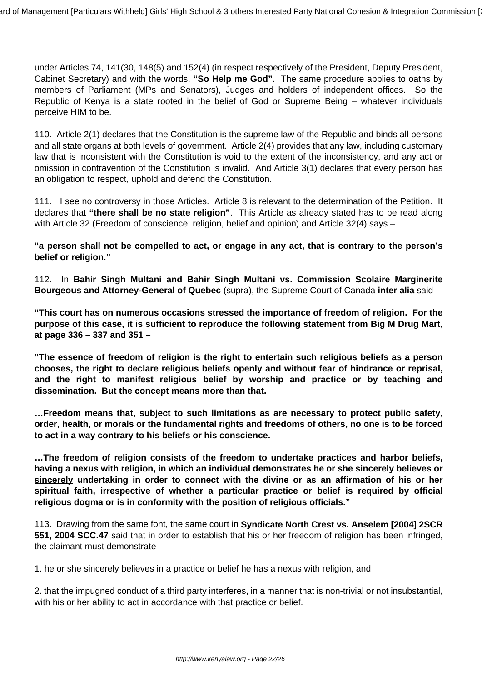under Articles 74, 141(30, 148(5) and 152(4) (in respect respectively of the President, Deputy President, Cabinet Secretary) and with the words, **"So Help me God"**. The same procedure applies to oaths by members of Parliament (MPs and Senators), Judges and holders of independent offices. So the Republic of Kenya is a state rooted in the belief of God or Supreme Being – whatever individuals perceive HIM to be.

110. Article 2(1) declares that the Constitution is the supreme law of the Republic and binds all persons and all state organs at both levels of government. Article 2(4) provides that any law, including customary law that is inconsistent with the Constitution is void to the extent of the inconsistency, and any act or omission in contravention of the Constitution is invalid. And Article 3(1) declares that every person has an obligation to respect, uphold and defend the Constitution.

111. I see no controversy in those Articles. Article 8 is relevant to the determination of the Petition. It declares that **"there shall be no state religion"**. This Article as already stated has to be read along with Article 32 (Freedom of conscience, religion, belief and opinion) and Article 32(4) says -

**"a person shall not be compelled to act, or engage in any act, that is contrary to the person's belief or religion."**

112. In **Bahir Singh Multani and Bahir Singh Multani vs. Commission Scolaire Marginerite Bourgeous and Attorney-General of Quebec** (supra), the Supreme Court of Canada **inter alia** said –

**"This court has on numerous occasions stressed the importance of freedom of religion. For the purpose of this case, it is sufficient to reproduce the following statement from Big M Drug Mart, at page 336 – 337 and 351 –**

**"The essence of freedom of religion is the right to entertain such religious beliefs as a person chooses, the right to declare religious beliefs openly and without fear of hindrance or reprisal, and the right to manifest religious belief by worship and practice or by teaching and dissemination. But the concept means more than that.**

**…Freedom means that, subject to such limitations as are necessary to protect public safety, order, health, or morals or the fundamental rights and freedoms of others, no one is to be forced to act in a way contrary to his beliefs or his conscience.**

**…The freedom of religion consists of the freedom to undertake practices and harbor beliefs, having a nexus with religion, in which an individual demonstrates he or she sincerely believes or sincerely undertaking in order to connect with the divine or as an affirmation of his or her spiritual faith, irrespective of whether a particular practice or belief is required by official religious dogma or is in conformity with the position of religious officials."**

113. Drawing from the same font, the same court in **Syndicate North Crest vs. Anselem [2004] 2SCR 551, 2004 SCC.47** said that in order to establish that his or her freedom of religion has been infringed, the claimant must demonstrate –

1. he or she sincerely believes in a practice or belief he has a nexus with religion, and

2. that the impugned conduct of a third party interferes, in a manner that is non-trivial or not insubstantial, with his or her ability to act in accordance with that practice or belief.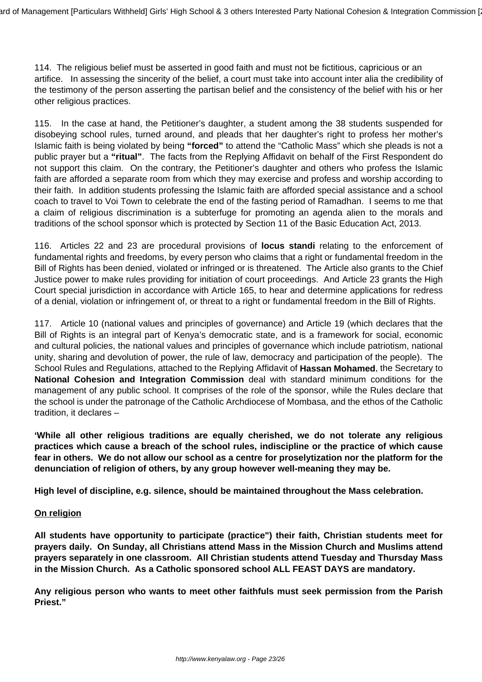114. The religious belief must be asserted in good faith and must not be fictitious, capricious or an artifice. In assessing the sincerity of the belief, a court must take into account inter alia the credibility of the testimony of the person asserting the partisan belief and the consistency of the belief with his or her other religious practices.

115. In the case at hand, the Petitioner's daughter, a student among the 38 students suspended for disobeying school rules, turned around, and pleads that her daughter's right to profess her mother's Islamic faith is being violated by being **"forced"** to attend the "Catholic Mass" which she pleads is not a public prayer but a **"ritual"**. The facts from the Replying Affidavit on behalf of the First Respondent do not support this claim. On the contrary, the Petitioner's daughter and others who profess the Islamic faith are afforded a separate room from which they may exercise and profess and worship according to their faith. In addition students professing the Islamic faith are afforded special assistance and a school coach to travel to Voi Town to celebrate the end of the fasting period of Ramadhan. I seems to me that a claim of religious discrimination is a subterfuge for promoting an agenda alien to the morals and traditions of the school sponsor which is protected by Section 11 of the Basic Education Act, 2013.

116. Articles 22 and 23 are procedural provisions of **locus standi** relating to the enforcement of fundamental rights and freedoms, by every person who claims that a right or fundamental freedom in the Bill of Rights has been denied, violated or infringed or is threatened. The Article also grants to the Chief Justice power to make rules providing for initiation of court proceedings. And Article 23 grants the High Court special jurisdiction in accordance with Article 165, to hear and determine applications for redress of a denial, violation or infringement of, or threat to a right or fundamental freedom in the Bill of Rights.

117. Article 10 (national values and principles of governance) and Article 19 (which declares that the Bill of Rights is an integral part of Kenya's democratic state, and is a framework for social, economic and cultural policies, the national values and principles of governance which include patriotism, national unity, sharing and devolution of power, the rule of law, democracy and participation of the people). The School Rules and Regulations, attached to the Replying Affidavit of **Hassan Mohamed**, the Secretary to **National Cohesion and Integration Commission** deal with standard minimum conditions for the management of any public school. It comprises of the role of the sponsor, while the Rules declare that the school is under the patronage of the Catholic Archdiocese of Mombasa, and the ethos of the Catholic tradition, it declares –

**'While all other religious traditions are equally cherished, we do not tolerate any religious practices which cause a breach of the school rules, indiscipline or the practice of which cause fear in others. We do not allow our school as a centre for proselytization nor the platform for the denunciation of religion of others, by any group however well-meaning they may be.**

**High level of discipline, e.g. silence, should be maintained throughout the Mass celebration.**

### **On religion**

**All students have opportunity to participate (practice") their faith, Christian students meet for prayers daily. On Sunday, all Christians attend Mass in the Mission Church and Muslims attend prayers separately in one classroom. All Christian students attend Tuesday and Thursday Mass in the Mission Church. As a Catholic sponsored school ALL FEAST DAYS are mandatory.**

**Any religious person who wants to meet other faithfuls must seek permission from the Parish Priest."**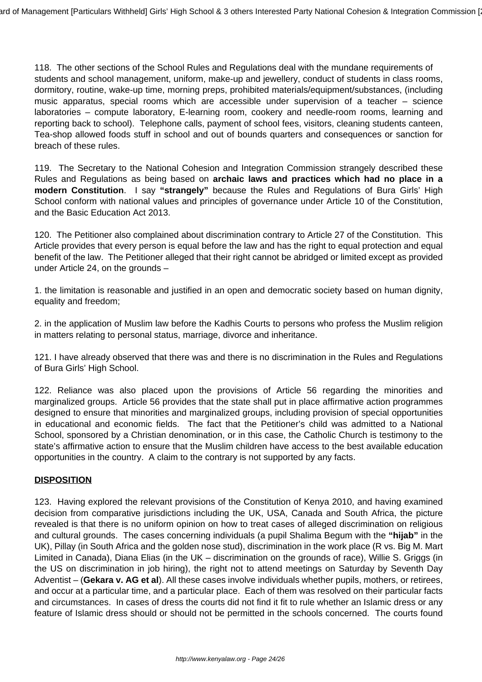118. The other sections of the School Rules and Regulations deal with the mundane requirements of students and school management, uniform, make-up and jewellery, conduct of students in class rooms, dormitory, routine, wake-up time, morning preps, prohibited materials/equipment/substances, (including music apparatus, special rooms which are accessible under supervision of a teacher – science laboratories – compute laboratory, E-learning room, cookery and needle-room rooms, learning and reporting back to school). Telephone calls, payment of school fees, visitors, cleaning students canteen, Tea-shop allowed foods stuff in school and out of bounds quarters and consequences or sanction for breach of these rules.

119. The Secretary to the National Cohesion and Integration Commission strangely described these Rules and Regulations as being based on **archaic laws and practices which had no place in a modern Constitution**. I say **"strangely"** because the Rules and Regulations of Bura Girls' High School conform with national values and principles of governance under Article 10 of the Constitution, and the Basic Education Act 2013.

120. The Petitioner also complained about discrimination contrary to Article 27 of the Constitution. This Article provides that every person is equal before the law and has the right to equal protection and equal benefit of the law. The Petitioner alleged that their right cannot be abridged or limited except as provided under Article 24, on the grounds –

1. the limitation is reasonable and justified in an open and democratic society based on human dignity, equality and freedom;

2. in the application of Muslim law before the Kadhis Courts to persons who profess the Muslim religion in matters relating to personal status, marriage, divorce and inheritance.

121. I have already observed that there was and there is no discrimination in the Rules and Regulations of Bura Girls' High School.

122. Reliance was also placed upon the provisions of Article 56 regarding the minorities and marginalized groups. Article 56 provides that the state shall put in place affirmative action programmes designed to ensure that minorities and marginalized groups, including provision of special opportunities in educational and economic fields. The fact that the Petitioner's child was admitted to a National School, sponsored by a Christian denomination, or in this case, the Catholic Church is testimony to the state's affirmative action to ensure that the Muslim children have access to the best available education opportunities in the country. A claim to the contrary is not supported by any facts.

#### **DISPOSITION**

123. Having explored the relevant provisions of the Constitution of Kenya 2010, and having examined decision from comparative jurisdictions including the UK, USA, Canada and South Africa, the picture revealed is that there is no uniform opinion on how to treat cases of alleged discrimination on religious and cultural grounds. The cases concerning individuals (a pupil Shalima Begum with the **"hijab"** in the UK), Pillay (in South Africa and the golden nose stud), discrimination in the work place (R vs. Big M. Mart Limited in Canada), Diana Elias (in the UK – discrimination on the grounds of race), Willie S. Griggs (in the US on discrimination in job hiring), the right not to attend meetings on Saturday by Seventh Day Adventist – (**Gekara v. AG et al**). All these cases involve individuals whether pupils, mothers, or retirees, and occur at a particular time, and a particular place. Each of them was resolved on their particular facts and circumstances. In cases of dress the courts did not find it fit to rule whether an Islamic dress or any feature of Islamic dress should or should not be permitted in the schools concerned. The courts found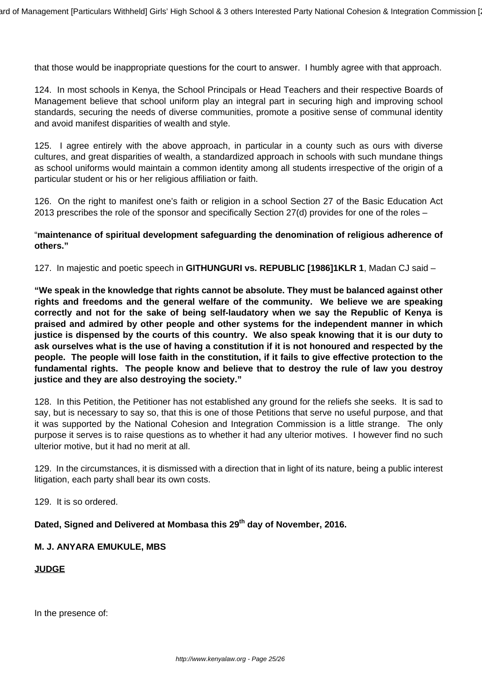that those would be inappropriate questions for the court to answer. I humbly agree with that approach.

124. In most schools in Kenya, the School Principals or Head Teachers and their respective Boards of Management believe that school uniform play an integral part in securing high and improving school standards, securing the needs of diverse communities, promote a positive sense of communal identity and avoid manifest disparities of wealth and style.

125. I agree entirely with the above approach, in particular in a county such as ours with diverse cultures, and great disparities of wealth, a standardized approach in schools with such mundane things as school uniforms would maintain a common identity among all students irrespective of the origin of a particular student or his or her religious affiliation or faith.

126. On the right to manifest one's faith or religion in a school Section 27 of the Basic Education Act 2013 prescribes the role of the sponsor and specifically Section 27(d) provides for one of the roles –

### "**maintenance of spiritual development safeguarding the denomination of religious adherence of others."**

127. In majestic and poetic speech in **GITHUNGURI vs. REPUBLIC [1986]1KLR 1**, Madan CJ said –

**"We speak in the knowledge that rights cannot be absolute. They must be balanced against other rights and freedoms and the general welfare of the community. We believe we are speaking correctly and not for the sake of being self-laudatory when we say the Republic of Kenya is praised and admired by other people and other systems for the independent manner in which justice is dispensed by the courts of this country. We also speak knowing that it is our duty to ask ourselves what is the use of having a constitution if it is not honoured and respected by the people. The people will lose faith in the constitution, if it fails to give effective protection to the fundamental rights. The people know and believe that to destroy the rule of law you destroy justice and they are also destroying the society."**

128. In this Petition, the Petitioner has not established any ground for the reliefs she seeks. It is sad to say, but is necessary to say so, that this is one of those Petitions that serve no useful purpose, and that it was supported by the National Cohesion and Integration Commission is a little strange. The only purpose it serves is to raise questions as to whether it had any ulterior motives. I however find no such ulterior motive, but it had no merit at all.

129. In the circumstances, it is dismissed with a direction that in light of its nature, being a public interest litigation, each party shall bear its own costs.

129. It is so ordered.

## **Dated, Signed and Delivered at Mombasa this 29th day of November, 2016.**

#### **M. J. ANYARA EMUKULE, MBS**

#### **JUDGE**

In the presence of: